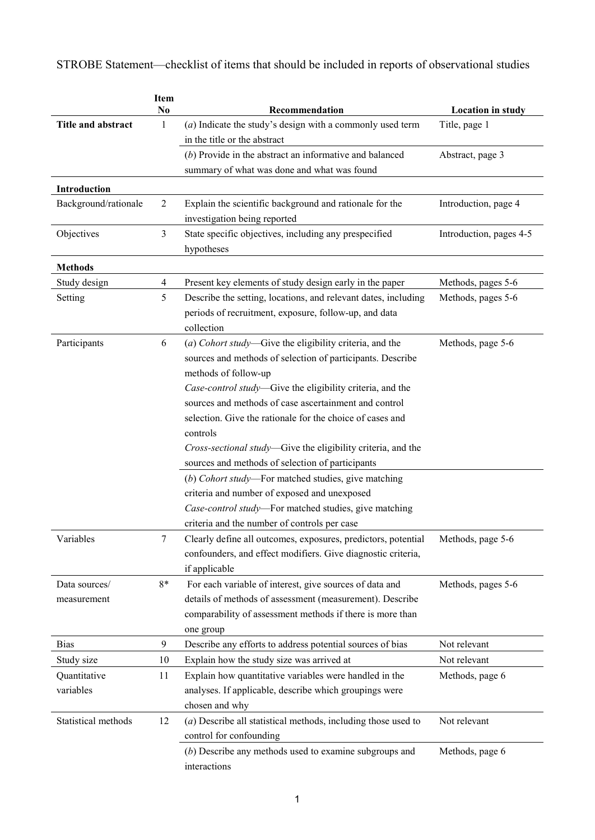STROBE Statement—checklist of items that should be included in reports of observational studies

|                      | <b>Item</b><br>N <sub>0</sub> | Recommendation                                                  |                                           |
|----------------------|-------------------------------|-----------------------------------------------------------------|-------------------------------------------|
| Title and abstract   | 1                             | $(a)$ Indicate the study's design with a commonly used term     | <b>Location in study</b><br>Title, page 1 |
|                      |                               | in the title or the abstract                                    |                                           |
|                      |                               | $(b)$ Provide in the abstract an informative and balanced       | Abstract, page 3                          |
|                      |                               | summary of what was done and what was found                     |                                           |
|                      |                               |                                                                 |                                           |
| Introduction         |                               |                                                                 |                                           |
| Background/rationale | $\overline{2}$                | Explain the scientific background and rationale for the         | Introduction, page 4                      |
|                      | $\mathfrak{Z}$                | investigation being reported                                    |                                           |
| Objectives           |                               | State specific objectives, including any prespecified           | Introduction, pages 4-5                   |
|                      |                               | hypotheses                                                      |                                           |
| <b>Methods</b>       |                               |                                                                 |                                           |
| Study design         | 4                             | Present key elements of study design early in the paper         | Methods, pages 5-6                        |
| Setting              | 5                             | Describe the setting, locations, and relevant dates, including  | Methods, pages 5-6                        |
|                      |                               | periods of recruitment, exposure, follow-up, and data           |                                           |
|                      |                               | collection                                                      |                                           |
| Participants         | 6                             | (a) Cohort study-Give the eligibility criteria, and the         | Methods, page 5-6                         |
|                      |                               | sources and methods of selection of participants. Describe      |                                           |
|                      |                               | methods of follow-up                                            |                                           |
|                      |                               | Case-control study-Give the eligibility criteria, and the       |                                           |
|                      |                               | sources and methods of case ascertainment and control           |                                           |
|                      |                               | selection. Give the rationale for the choice of cases and       |                                           |
|                      |                               | controls                                                        |                                           |
|                      |                               | Cross-sectional study-Give the eligibility criteria, and the    |                                           |
|                      |                               | sources and methods of selection of participants                |                                           |
|                      |                               | (b) Cohort study-For matched studies, give matching             |                                           |
|                      |                               | criteria and number of exposed and unexposed                    |                                           |
|                      |                               | Case-control study-For matched studies, give matching           |                                           |
|                      |                               | criteria and the number of controls per case                    |                                           |
| Variables            | 7                             | Clearly define all outcomes, exposures, predictors, potential   | Methods, page 5-6                         |
|                      |                               | confounders, and effect modifiers. Give diagnostic criteria,    |                                           |
|                      |                               | if applicable                                                   |                                           |
| Data sources/        | $8*$                          | For each variable of interest, give sources of data and         | Methods, pages 5-6                        |
| measurement          |                               | details of methods of assessment (measurement). Describe        |                                           |
|                      |                               | comparability of assessment methods if there is more than       |                                           |
|                      |                               | one group                                                       |                                           |
| <b>Bias</b>          | $\boldsymbol{9}$              | Describe any efforts to address potential sources of bias       | Not relevant                              |
| Study size           | 10                            | Explain how the study size was arrived at                       | Not relevant                              |
| Quantitative         | 11                            | Explain how quantitative variables were handled in the          | Methods, page 6                           |
| variables            |                               | analyses. If applicable, describe which groupings were          |                                           |
|                      |                               | chosen and why                                                  |                                           |
| Statistical methods  | 12                            | $(a)$ Describe all statistical methods, including those used to | Not relevant                              |
|                      |                               | control for confounding                                         |                                           |
|                      |                               | $(b)$ Describe any methods used to examine subgroups and        | Methods, page 6                           |
|                      |                               | interactions                                                    |                                           |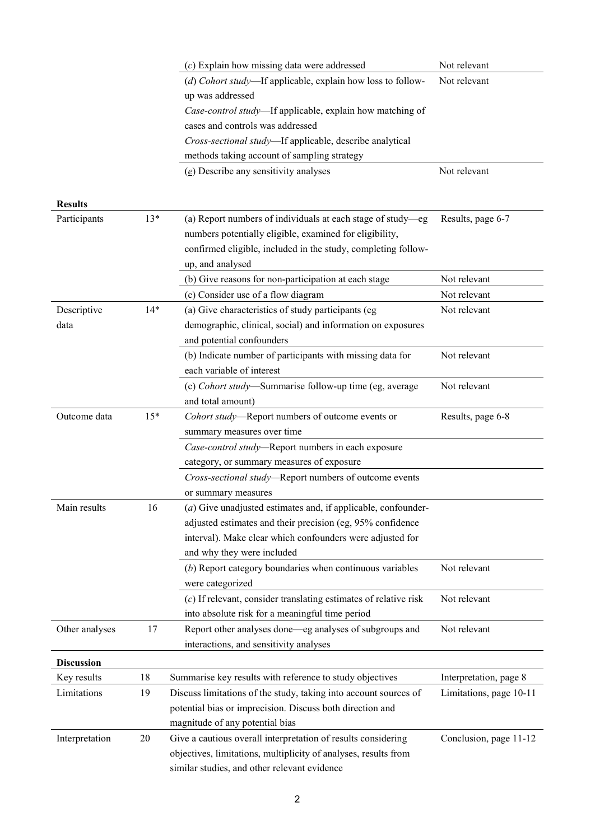|                   |       | $(c)$ Explain how missing data were addressed                    | Not relevant            |
|-------------------|-------|------------------------------------------------------------------|-------------------------|
|                   |       | (d) Cohort study—If applicable, explain how loss to follow-      | Not relevant            |
|                   |       | up was addressed                                                 |                         |
|                   |       | Case-control study-If applicable, explain how matching of        |                         |
|                   |       | cases and controls was addressed                                 |                         |
|                   |       | Cross-sectional study-If applicable, describe analytical         |                         |
|                   |       | methods taking account of sampling strategy                      |                         |
|                   |       | $(e)$ Describe any sensitivity analyses                          | Not relevant            |
|                   |       |                                                                  |                         |
| <b>Results</b>    |       |                                                                  |                         |
| Participants      | $13*$ | (a) Report numbers of individuals at each stage of study-eg      | Results, page 6-7       |
|                   |       | numbers potentially eligible, examined for eligibility,          |                         |
|                   |       | confirmed eligible, included in the study, completing follow-    |                         |
|                   |       | up, and analysed                                                 |                         |
|                   |       | (b) Give reasons for non-participation at each stage             | Not relevant            |
|                   |       | (c) Consider use of a flow diagram                               | Not relevant            |
| Descriptive       | $14*$ | (a) Give characteristics of study participants (eg               | Not relevant            |
| data              |       | demographic, clinical, social) and information on exposures      |                         |
|                   |       | and potential confounders                                        |                         |
|                   |       | (b) Indicate number of participants with missing data for        | Not relevant            |
|                   |       | each variable of interest                                        |                         |
|                   |       | (c) Cohort study—Summarise follow-up time (eg, average           | Not relevant            |
|                   |       | and total amount)                                                |                         |
| Outcome data      | $15*$ | Cohort study-Report numbers of outcome events or                 | Results, page 6-8       |
|                   |       | summary measures over time                                       |                         |
|                   |       | Case-control study-Report numbers in each exposure               |                         |
|                   |       | category, or summary measures of exposure                        |                         |
|                   |       | Cross-sectional study-Report numbers of outcome events           |                         |
|                   |       | or summary measures                                              |                         |
| Main results      | 16    | (a) Give unadjusted estimates and, if applicable, confounder-    |                         |
|                   |       | adjusted estimates and their precision (eg, 95% confidence       |                         |
|                   |       | interval). Make clear which confounders were adjusted for        |                         |
|                   |       | and why they were included                                       |                         |
|                   |       | $(b)$ Report category boundaries when continuous variables       | Not relevant            |
|                   |       | were categorized                                                 |                         |
|                   |       | (c) If relevant, consider translating estimates of relative risk | Not relevant            |
|                   |       | into absolute risk for a meaningful time period                  |                         |
| Other analyses    | 17    | Report other analyses done—eg analyses of subgroups and          | Not relevant            |
|                   |       | interactions, and sensitivity analyses                           |                         |
|                   |       |                                                                  |                         |
| <b>Discussion</b> |       |                                                                  |                         |
| Key results       | 18    | Summarise key results with reference to study objectives         | Interpretation, page 8  |
| Limitations       | 19    | Discuss limitations of the study, taking into account sources of | Limitations, page 10-11 |
|                   |       | potential bias or imprecision. Discuss both direction and        |                         |
|                   |       | magnitude of any potential bias                                  |                         |
| Interpretation    | 20    | Give a cautious overall interpretation of results considering    | Conclusion, page 11-12  |
|                   |       | objectives, limitations, multiplicity of analyses, results from  |                         |
|                   |       | similar studies, and other relevant evidence                     |                         |